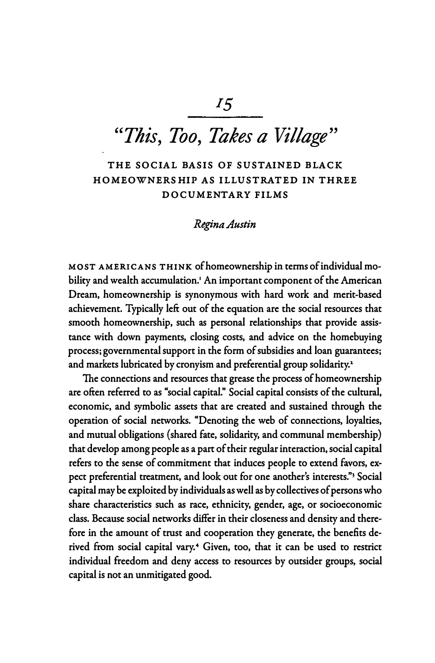# *"This, Too, Takes a Village"*

### **THE SOCIAL BASIS OF SUSTAINED BLACK HOMEOWNERSHIP AS ILLUSTRATED IN THREE DOCUMENTARY FILMS**

#### *Regi,na Austin*

**MOST AMERICANS THINK of homeownership in terms of individual mobility and wealth accumulation.' An important component of the American Dream, homeownership is synonymous with hard work and merit-based achievement. Typically left out of the equation are the social resources that smooth homeownership, such as personal relationships that provide assistance with down payments, closing costs, and advice on the homebuying process; governmental support in the form of subsidies and loan guarantees; and markets lubricated by cronyism and preferential group solidarity.** <sup>1</sup>

**The connections and resources that grease the process of homeownership are often referred to as "social capital." Social capital consists of the cultural, economic, and symbolic assets that are created and sustained through the operation of social networks. "Denoting the web of connections, loyalties, and mutual obligations (shared fate, solidarity, and communal membership) that develop among people as a part of their regular interaction, social capital refers to the sense of commitment that induces people to extend favors, expect preferential treatment, and look out for one another's interests."**3 **Social capital may be exploited by individuals as well as by collectives of persons who share characteristics such as race, ethnicity, gender, age, or socioeconomic class. Because social networks differ in their closeness and density and therefore in the amount of trust and cooperation they generate, the benefits derived from social capital vary.** 4 **Given, too, that it can be used to restrict individual freedom and deny access to resources by outsider groups, social capital is not an unmitigated good.**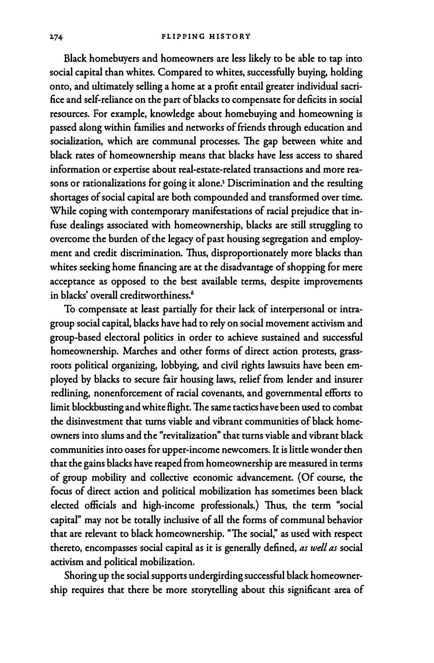**Black homebuyers and homeowners are less likely to be able to tap into social capital than whites. Compared to whites, successfully buying, holding onto, and ultimately selling a home at a profit entail greater individual sacrifice and self-reliance on the part of blacks to compensate for deficits in social resources. For example, knowledge about homebuying and homeowning is passed along within families and networks of friends through education and socialization, which are communal processes. The gap between white and black rates of homeownership means that blacks have less access to shared information or expertise about real-estate-related transactions and more rea**sons or rationalizations for going it alone.<sup>5</sup> Discrimination and the resulting **shortages of social capital are both compounded and transformed over time. While coping with contemporary manifestations of racial prejudice that infuse dealings associated with homeownership, blacks are still struggling to overcome the burden of the legacy of past housing segregation and employment and credit discrimination. Thus, disproportionately more blacks than whites seeking home financing are at the disadvantage of shopping for mere acceptance as opposed to the best available terms, despite improvements in blacks' overall creditworthiness.**<sup>6</sup>

**To compensate at least partially for their lack of interpersonal or intragroup social capital, blacks have had to rely on social movement activism and group-based electoral politics in order to achieve sustained and successful homeownership. Marches and other forms of direct action protests, grassroots political organizing, lobbying, and civil rights lawsuits have been employed by blacks to secure fair housing laws, relief from lender and insurer redlining, nonenforcement of racial covenants, and governmental efforts to limit blockbusting and white flight. The same tactics have been used to combat the disinvestment that turns viable and vibrant communities of black homeowners into slums and the "revitalization" that turns viable and vibrant black communities into oases for upper-income newcomers. It is little wonder then that the gains blacks have reaped from homeownership are measured in terms of group mobility and collective economic advancement. ( Of course, the focus of direct action and political mobilization has sometimes been black elected officials and high-income professionals.) Thus, the term "social capital" may not be totally inclusive of all the forms of communal behavior that are relevant to black homeownership. "The social; as used with respect thereto, encompasses social capital as it is generally defined,** *as well as* **social activism and political mobilization.** 

**Shoring up the social supports undergirding successful black homeownership requires that there be more storytelling about this significant area of**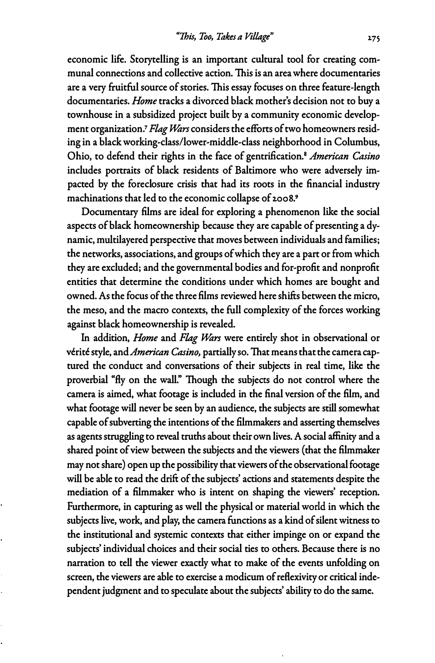**economic life. Storytelling is an important cultural tool for creating communal connections and collective action. This is an area where documentaries are a very fruitful source of stories. This essay focuses on three feature-length documentaries.** *Home* **tracks a divorced black mother's decision not to buy a townhouse in a subsidized project built by a community economic development organization.7** *Flag Wars* **considers the efforts of two homeowners residing in a black working-class/lower-middle-class neighborhood in Columbus, Ohio, to defend their rights in the face of gentrification.<sup>8</sup>***American Casino*  **includes portraits of black residents of Baltimore who were adversely impacted by the foreclosure crisis that had its roots in the financial industry machinations that led to the economic collapse of 2.008.<sup>9</sup>**

**Documentary films are ideal for exploring a phenomenon like the social aspects of black homeownership because they are capable of presenting a dynamic, multilayered perspective that moves between individuals and families; the networks, associations, and groups of which they are a part or from which they are excluded; and the governmental bodies and for-profit and nonprofit entities that determine the conditions under which homes are bought and owned. As the focus of the three films reviewed here shifts between the micro, the mesa, and the macro contexts, the full complexity of the forces working against black homeownership is revealed.** 

**In addition,** *Home* **and** *Flag Wars* **were entirely shot in observational or verite style, and** *American Casino,* **partially so. That means that the camera captured the conduct and conversations of their subjects in real time, like the proverbial "fly on the wall." Though the subjects do not control where the camera is aimed, what footage is included in the final version of the film, and what footage will never be seen by an audience, the subjects are still somewhat capable of subverting the intentions of the filmmakers and asserting themselves as agents struggling to reveal truths about their own lives. A social affinity and a shared point of view between the subjects and the viewers ( that the filmmaker may not share) open up the possibility that viewers of the observational footage will be able to read the drift of the subjects' actions and statements despite the mediation of a filmmaker who is intent on shaping the viewers' reception. Furthermore, in capturing as well the physical or material world in which the subjects live, work, and play, the camera functions as a kind of silent witness to the institutional and systemic contexts that either impinge on or expand the subjects' individual choices and their social ties to others. Because there is no narration to tell the viewer exactly what to make of the events unfolding on screen, the viewers are able to exercise a modicum of reflexivity or critical independent judgment and to speculate about the subjects' ability to do the same.**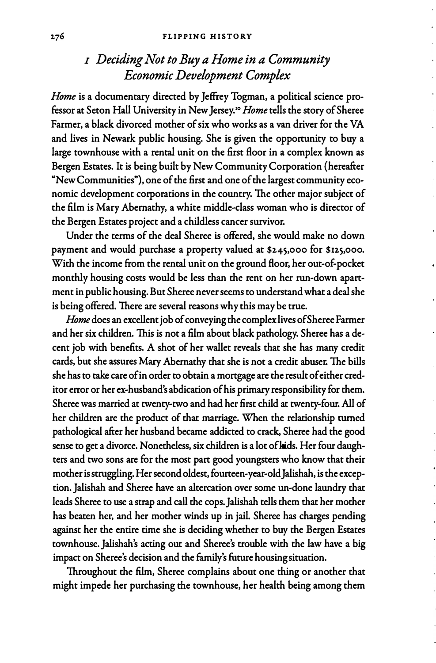## *I Deciding Not to Buy a Home in a Community Economic Development Complex*

*Home* **is a documentary directed by Jeffrey Togman, a political science professor at Seton Hall University in New Jersey.**10 *Home* **tells the story of Sheree Farmer, a black divorced mother of six who works as a van driver for the VA and lives in Newark public housing. She is given the opportunity to buy a large townhouse with a rental unit on the first Boor in a complex known as Bergen Estates. It is being built by New Community Corporation {hereafter "New Communities"), one of the first and one of the largest community economic development corporations in the country. The other major subject of the film is Mary Abernathy, a white middle-class woman who is director of the Bergen Estates project and a childless cancer survivor.** 

**Under the terms of the deal Sheree is offered, she would make no down payment and would purchase a property valued at \$245,000 for \$125,000. With the income from the rental unit on the ground Boor, her out-of-pocket monthly housing costs would be less than the rent on her run-down apartment in public housing. But Sheree never seems to understand what a deal she is being offered. There are several reasons why this may be true.** 

*Home* **does an excellent job of conveying the complex lives of Sheree Farmer and her six children. This is not a film about black pathology. Sheree has a decent job with benefits. A shot of her wallet reveals that she has many credit cards, but she assures Mary Abernathy that she is not a credit abuser. The bills she has to take care of in order to obtain a mortgage are the result of either creditor error or her ex-husband's abdication of his primary responsibility for them. Sheree was married at twenty-two and had her first child at twenty-four. All of her children are the product of that marriage. When the relationship turned pathological after her husband became addicted to crack, Sheree had the good sense to get a divorce. Nonetheless, six children is a lot of kids. Her four daughters and two sons are for the most part good youngsters who know that their mother is struggling. Her second oldest, fourteen-year-old Jalishah, is the exception. Jalishah and Sheree have an altercation over some un-done laundry that leads Sheree to use a strap and call the cops. Jalishah tells them that her mother has beaten her, and her mother winds up in jail. Sheree has charges pending against her the entire time she is deciding whether to buy the Bergen Estates townhouse. Jalishah's acting out and Sheree's trouble with the law have a big impact on Sheree's decision and the family's future housing situation.** 

**Throughout the film, Sheree complains about one thing or another that might impede her purchasing the townhouse, her health being among them**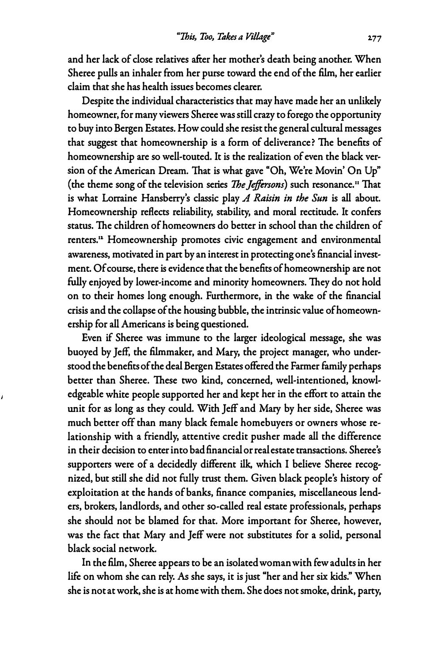**and her lack of close relatives after her mother's death being another. When Sheree pulls an inhaler from her purse toward the end of the film, her earlier claim that she has health issues becomes clearer.** 

**Despite the individual characteristics that may have made her an unlikely homeowner, for many viewers Sheree was still crazy to forego the opportunity to buy into Bergen Estates. How could she resist the general cultural messages that suggest that homeownership is a form of deliverance? The benefits of homeownership are so well-touted. It is the realization of even the black version of the American Dream. That is what gave "Oh, We're Movin' On Up" ( the theme song of the television series** *The Jeffersons)* **such resonance.** 11 **That is what Lorraine Hansberry's classic play** *A Raisin in the Sun* **is all about. Homeownership reflects reliability, stability, and moral rectitude. It confers status. The children of homeowners do better in school than the children of renters.11 Homeownership promotes civic engagement and environmental awareness, motivated in part by an interest in protecting one's financial investment. Of course, there is evidence that the benefits of homeownership are not fully enjoyed by lower-income and minority homeowners. They do not hold on to their homes long enough. Furthermore, in the wake of the financial crisis and the collapse of the housing bubble, the intrinsic value of homeownership for all Americans is being questioned.** 

**Even if Sheree was immune to the larger ideological message, she was buoyed by Jeff, the filmmaker, and Mary, the project manager, who understood the benefits of the deal Bergen Estates offered the Farmer family perhaps better than Sheree. These two kind, concerned, well-intentioned, knowledgeable white people supported her and kept her in the effort to attain the unit for as long as they could. With Jeff and Mary by her side, Sheree was much better off than many black female homebuyers or owners whose relationship with a friendly, attentive credit pusher made all the difference in their decision to enter into bad financial or real estate transactions. Sheree's supporters were of a decidedly different ilk, which I believe Sheree recognized, but still she did not fully trust them. Given black people's history of exploitation at the hands of banks, finance companies, miscellaneous lenders, brokers, landlords, and other so-called real estate professionals, perhaps she should not be blamed for that. More important for Sheree, however, was the fact that Mary and Jeff were not substitutes for a solid, personal black social network.** 

**In the film, Sheree appears to be an isolated woman with few adults in her life on whom she can rely.** *As* **she says, it is just "her and her six kids." When she is not at work, she is at home with them. She does not smoke, drink, party,**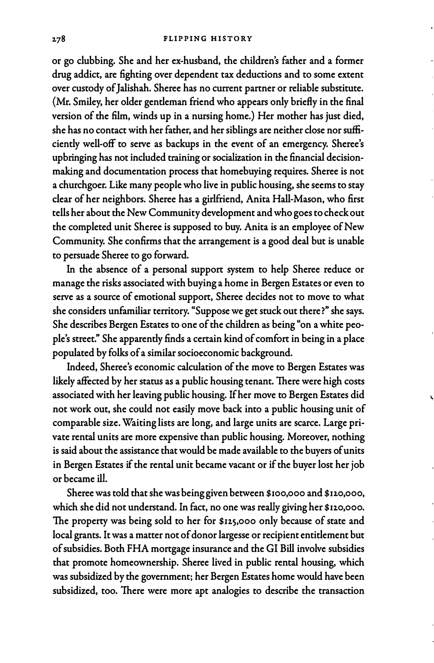**or go clubbing. She and her ex-husband, the children's father and a former drug addict, are fighting over dependent tax deductions and to some extent over custody of Jalishah. Sheree has no current partner or reliable substitute. {Mr. Smiley, her older gentleman friend who appears only briefly in the final version of the film, winds up in a nursing home.) Her mother has just died, she has no contact with her father, and her siblings are neither close nor sufficiently well-off to serve as backups in the event of an emergency. Sheree's upbringing has not included training or socialization in the financial decision**making and documentation process that homebuying requires. Sheree is not **a churchgoer. Like many people who live in public housing, she seems to stay dear of her neighbors. Sheree has a girlfriend, Anita Hall-Mason, who first tells her about the New Community development and who goes to check out the completed unit Sheree is supposed to buy. Anita is an employee of New Community. She confirms that the arrangement is a good deal but is unable to persuade Sheree to go forward.** 

**In the absence of a personal support system to help Sheree reduce or manage the risks associated with buying a home in Bergen Estates or even to serve as a source of emotional support, Sheree decides not to move to what she considers unfamiliar territory. "Suppose we get stuck out there?" she says. She describes Bergen Estates to one of the children as being "on a white people's street." She apparently finds a certain kind of comfort in being in a place populated by folks of a similar socioeconomic background.** 

**Indeed, Sheree's economic calculation of the move to Bergen Estates was likely affected by her status as a public housing tenant. There were high costs associated with her leaving public housing. If her move to Bergen Estates did not work out, she could not easily move back into a public housing unit of comparable size. Waiting lists are long, and large units are scarce. Large private rental units are more expensive than public housing. Moreover, nothing is said about the assistance that would be made available to the buyers of units in Bergen Estates if the rental unit became vacant or if the buyer lost her job or became ill.** 

**Sheree was told that she was being given between \$100,000 and \$12.0,000, which she did not understand. In fact, no one was really giving her \$120,000. The property was being sold to her for \$125,000 only because of state and local grants. It was a matter not of donor largesse or recipient entitlement but of subsidies. Both FHA mortgage insurance and the GI Bill involve subsidies that promote homeownership. Sheree lived in public rental housing, which was subsidized by the government; her Bergen Estates home would have been subsidized, too. There were more apt analogies to describe the transaction**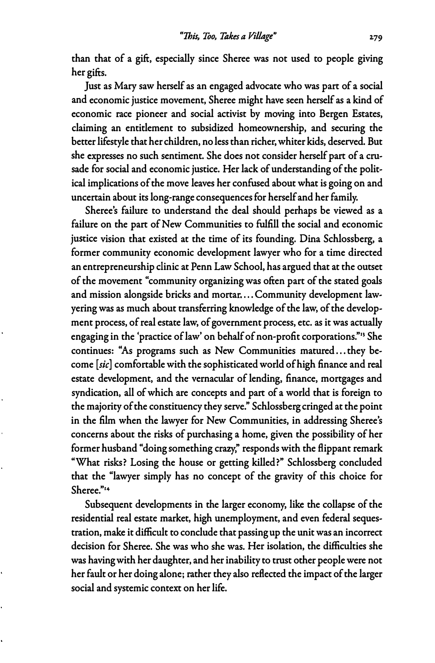**than that of a gift, especially since Sheree was not used to people giving her gifts.** 

**Just as Mary saw herself as an engaged advocate who was part of a social and economic justice movement, Sheree might have seen herself as a kind of economic race pioneer and social activist by moving into Bergen Estates, claiming an entitlement to subsidized homeownership, and securing the better lifestyle that her children, no less than richer, whiter kids, deserved. But she expresses no such sentiment. She does not consider herself part of a crusade for social and economic justice. Her lack of understanding of the political implications of the move leaves her confused about what is going on and uncertain about its long-range consequences for herself and her family.** 

**Sheree's failure to understand the deal should perhaps be viewed as a failure on the part of New Communities to fulfill the social and economic justice vision that existed at the time of its founding. Dina Schlossberg, a former community economic development lawyer who for a time directed an entrepreneurship clinic at Penn Law School, has argued that at the outset of the movement "community organizing was often part of the stated goals**  and mission alongside bricks and mortar .... Community development law**yering was as much about transferring knowledge of the law, of the development process, of real estate law, of government process, etc. as it was actually engaging in the 'practice of law' on behalf of non-profit corporations."**13 **She continues: "As programs such as New Communities matured ... they become** *[sic]* **comfortable with the sophisticated world of high finance and real estate development, and the vernacular of lending, finance, mortgages and syndication, all of which are concepts and part of a world that is foreign to the majority of the constituency they serve." Schlossberg cringed at the point in the film when the lawyer for New Communities, in addressing Sheree's concerns about the risks of purchasing a home, given the possibility of her former husband "doing something crazy; responds with the flippant remark "What risks? Losing the house or getting killed?" Schlossberg concluded that the "lawyer simply has no concept of the gravity of this choice for Sheree."<sup>14</sup>**

**Subsequent developments in the larger economy, like the collapse of the residential real estate market, high unemployment, and even federal sequestration, make it difficult to conclude that passing up the unit was an incorrect decision for Sheree. She was who she was. Her isolation, the difficulties she was having with her daughter, and her inability to trust other people were not her fault or her doing alone; rather they also reflected the impact of the larger social and systemic context on her life.**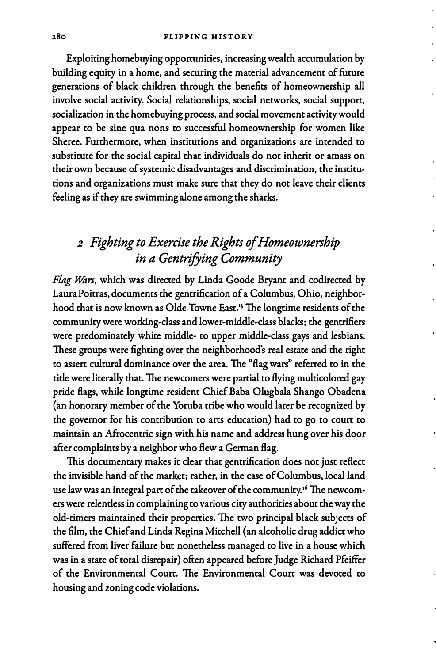**Exploiting homebuying opportunities, increasing wealth accumulation by building equity in a home, and securing the material advancement of future generations of black children through the benefits of homeownership all involve social activity. Social relationships, social networks, social support, socialization in the homebuying process, and social movement activity would appear to be sine qua nons to successful homeownership for women like Sheree. Furthermore, when institutions and organizations are intended to substitute for the social capital that individuals do not inherit or amass on their own because of systemic disadvantages and discrimination, the institutions and organizations must make sure that they do not leave their clients feeling as if they are swimming alone among the sharks.** 

# *<sup>2</sup>Fighting to Exercise the Rights of Homeownership in a Gentrifying Community*

*Flag J¼zrs,* **which was directed by Linda Goode Bryant and codirected by Laura Poitras, documents the gentrification of a Columbus, Ohio, neighborhood that is now known as Olde Towne East.**<sup>1</sup> **s The longtime residents of the community were working-class and lower-middle-class blacks; the gentrifiers were predominately white middle- to upper middle-class gays and lesbians. These groups were fighting over the neighborhood's real estate and the right**  to assert cultural dominance over the area. The "flag wars" referred to in the **title were literally that. The newcomers were partial to flying multicolored gay pride flags, while longtime resident Chief Baba Olugbala Shango Obadena (an honorary member of the Yoruba tribe who would later be recognized by the governor for his contribution to arts education) had to go to court to maintain an Afrocentric sign with his name and address hung over his door after complaints by a neighbor who flew a German flag.** 

**This documentary makes it clear that gentrification does not just reflect the invisible hand of the market; rather, in the case of Columbus, local land use law was an integral part of the takeover of the community. 16 The newcomers were relentless in complaining to various city authorities about the way the old-timers maintained their properties. The two principal black subjects of the film, the Chief and Linda Regina Mitchell { an alcoholic drug addict who suffered from liver failure but nonetheless managed to live in a house which was in a state of total disrepair) often appeared before Judge Richard Pfeiffer of the Environmental Court. The Environmental Court was devoted to housing and zoning code violations.**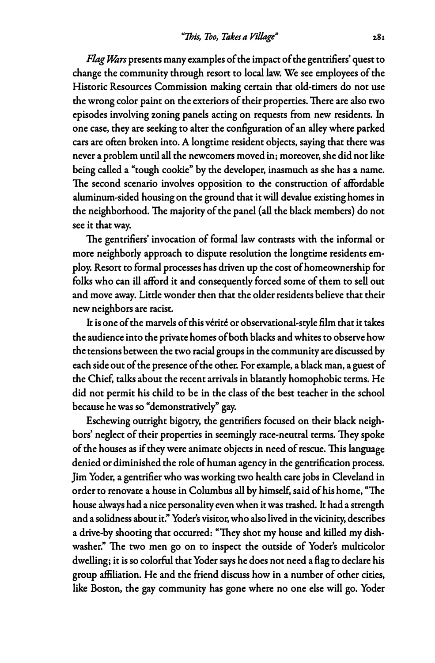*Flag l\*zrs* **presents many examples of the impact of the gentrifiers' quest to change the community through resort to local law. We see employees of the Historic Resources Commission making certain that old-timers do not use the wrong color paint on the exteriors of their properties. There are also two episodes involving zoning panels acting on requests from new residents. In one case, they are seeking to alter the configuration of an alley where parked cars are often broken into. A longtime resident objects, saying that there was never a problem until all the newcomers moved in; moreover, she did not like being called a "tough cookie" by the developer, inasmuch as she has a name. The second scenario involves opposition to the construction of affordable aluminum-sided housing on the ground that it will devalue existing homes in the neighborhood. The majority of the panel {all the black members) do not see it that way.** 

**The gentrifiers' invocation of formal law contrasts with the informal or more neighborly approach to dispute resolution the longtime residents employ. Resort to formal processes has driven up the cost of homeownership for folks who can ill afford it and consequently forced some of them to sell out and move away. Little wonder then that the older residents believe that their new neighbors are racist.** 

**It is one of the marvels of this verite or observational-style film that it takes the audience into the private homes of both blacks and whites to observe how the tensions between the two racial groups in the community are discussed by each side out of the presence of the other. For example, a black man, a guest of the Chief, talks about the recent arrivals in blatantly homophobic terms. He did not permit his child to be in the class of the best teacher in the school because he was so "demonstratively" gay.** 

**Eschewing outright bigotry, the gentrifiers focused on their black neighbors' neglect of their properties in seemingly race-neutral terms. They spoke of the houses as if they were animate objects in need of rescue. This language denied or diminished the role of human agency in the gentrification process. Jim Yoder, a gentrifier who was working two health care jobs in Cleveland in order to renovate a house in Columbus all by himself, said of his home, "The house always had a nice personality even when it was trashed. It had a strength and a solidness about it." Yoder's visitor, who also lived in the vicinity, describes a drive-by shooting that occurred: "They shot my house and killed my dishwasher." The two men go on to inspect the outside of Yoder's multicolor dwelling; it is so colorful that Yoder says he does not need a flag to declare his group affiliation. He and the friend discuss how in a number of other cities, like Boston, the gay community has gone where no one else will go. Yoder**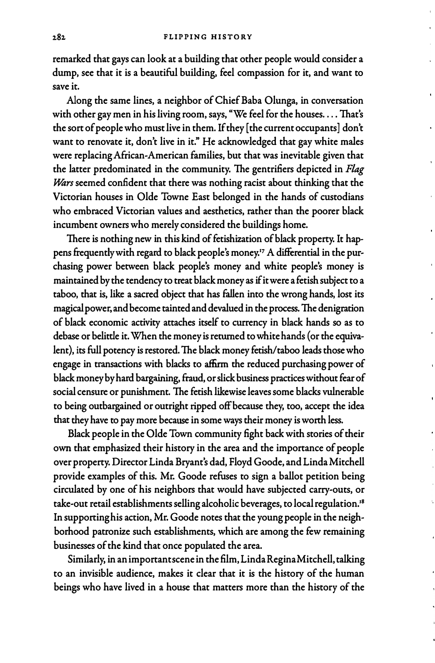**remarked that gays can look at a building that other people would consider a dump, see that it is a beautiful building, feel compassion for it, and want to save it.** 

**Along the same lines, a neighbor of Chief Baba Olunga, in conversation with other gay men in his living room, says, "We feel for the houses .... That's the sort of people who must live in them. If they [ the current occupants] don't want to renovate it, don't live in it." He acknowledged that gay white males were replacing African-American families, but that was inevitable given that the latter predominated in the community. The gentrifiers depicted in** *Flag Wars* seemed confident that there was nothing racist about thinking that the **Victorian houses in Olde Towne East belonged in the hands of custodians who embraced Victorian values and aesthetics, rather than the poorer black incumbent owners who merely considered the buildings home.** 

**There is nothing new in this kind of fetishization of black property. It hap**pens frequently with regard to black people's money.<sup>17</sup> A differential in the pur**chasing power between black people's money and white people's money is maintained by the tendency to treat black money as if it were a fetish subject to a taboo, that is, like a sacred object that has fallen into the wrong hands, lost its magical power, and become tainted and devalued in the process. The denigration of black economic activity attaches itself to currency in black hands so as to debase or belittle it. When the money is returned to white hands ( or the equivalent), its full potency is restored. The black money fetish/taboo leads those who engage in transactions with blacks to affirm the reduced purchasing power of black money by hard bargaining, fraud, or slick business practices without fear of social censure or punishment. The fetish likewise leaves some blacks vulnerable to being outbargained or outright ripped off because they, too, accept the idea that they have to pay more because in some ways their money is worth less.** 

**Black people in the Olde Town community fight back with stories of their own that emphasized their history in the area and the importance of people over property. Director Linda Bryant's dad, Floyd Goode, and Linda Mitchell provide examples of this. Mr. Goode refuses to sign a ballot petition being circulated by one of his neighbors that would have subjected carry-outs, or take-out retail establishments selling alcoholic beverages, to local regulation. ' 8 In supporting his action, Mr. Goode notes that the young people in the neighborhood patronize such establishments, which are among the few remaining businesses of the kind that once populated the area.** 

**Similarly, in an important scene in the film, Linda Regina Mitchell, talking to an invisible audience, makes it clear that it is the history of the human beings who have lived in a house that matters more than the history of the**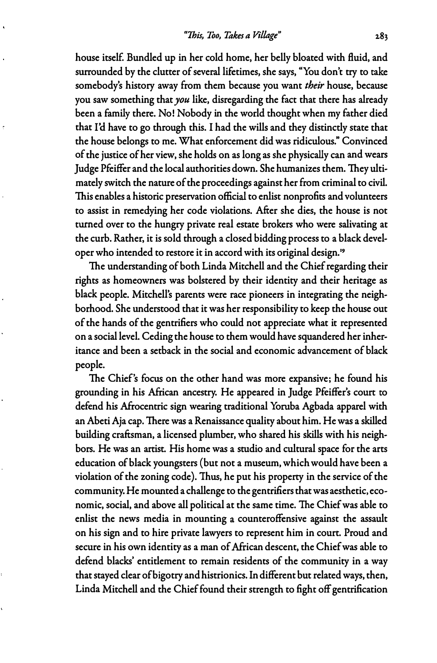**house itsel£ Bundled up in her cold home, her belly bloated with fluid, and surrounded by the clutter of several lifetimes, she says, "You don't try to take somebody's history away from them because you want** *their* **house, because you saw something that** *you* **like, disregarding the fact that there has already been a family there. No! Nobody in the world thought when my father died that I'd have to go through this. I had the wills and they distinctly state that the house belongs to me. What enforcement did was ridiculous." Convinced of the justice of her view, she holds on as long as she physically can and wears Judge Pfeiffer and the local authorities down. She humanizes them. They ultimately switch the nature of the proceedings against her from criminal to civil. This enables a historic preservation official to enlist nonprofits and volunteers to assist in remedying her code violations. After she dies, the house is not turned over to the hungry private real estate brokers who were salivating at the curb. Rather, it is sold through a closed bidding process to a black developer who intended to restore it in accord with its original design.<sup>19</sup>**

**The understanding of both Linda Mitchell and the Chief regarding their rights as homeowners was bolstered by their identity and their heritage as black people. Mitchell's parents were race pioneers in integrating the neighborhood. She understood that it was her responsibility to keep the house out of the hands of the gentrifiers who could not appreciate what it represented on a social level. Ceding the house to them would have squandered her inheritance and been a setback in the social and economic advancement of black people.** 

**The Chief's focus on the other hand was more expansive; he found his grounding in his African ancestry. He appeared in Judge Pfeiffer's court to defend his Afrocentric sign wearing traditional Yoruba Agbada apparel with an Abeti Aja cap. There was a Renaissance quality about him. He was a skilled building craftsman, a licensed plumber, who shared his skills with his neighbors. He was an artist. His home was a studio and cultural space for the arts education of black youngsters (but not a museum, which would have been a violation of the zoning code). Thus, he put his property in the service of the community. He mounted a challenge to the gentrifiers that was aesthetic, economic, social, and above all political at the same time. The Chief was able to enlist the news media in mounting a counteroffensive against the assault on his sign and to hire private lawyers to represent him in court. Proud and secure in his own identity as a man of African descent, the Chief was able to defend blacks' entitlement to remain residents of the community in a way that stayed clear of bigotry and histrionics. In different but related ways, then, Linda Mitchell and the Chief found their strength to fight off gentrification**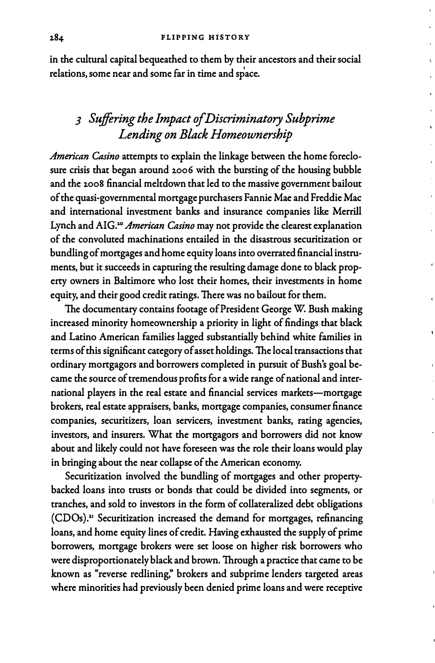**in the cultural capital bequeathed to them by their ancestors and their social relations, some near and some far in time and space.** 

# *3 Suffering the Impact of Discriminatory Subprime Lending on Black Homeownership*

*American Casino* **attempts to explain the linkage between the home foreclosure crisis that began around 2006 with the bursting of the housing bubble and the 2008 financial meltdown that led to the massive government bailout of the quasi-governmental mortgage purchasers Fannie Mae and Freddie Mac and international investment banks and insurance companies like Merrill**  Lynch and AIG.<sup>20</sup> *American Casino* may not provide the clearest explanation **of the convoluted machinations entailed in the disastrous securitization or bundling of mortgages and home equity loans into overrated financial instruments, but it succeeds in capturing the resulting damage done to black property owners in Baltimore who lost their homes, their investments in home**  equity, and their good credit ratings. There was no bailout for them.

**The documentary contains footage of President George W. Bush making increased minority homeownership a priority in light of findings that black and Latino American families lagged substantially behind white families in terms of this significant category of asset holdings. The local transactions that ordinary mortgagors and borrowers completed in pursuit of Bush's goal became the source of tremendous profits for a wide range of national and international players in the real estate and financial services markets-mortgage brokers, real estate appraisers, banks, mortgage companies, consumer finance companies, securitizers, loan servicers, investment banks, rating agencies, investors, and insurers. What the mortgagors and borrowers did not know about and likely could not have foreseen was the role their loans would play in bringing about the near collapse of the American economy.** 

**Securitization involved the bundling of mortgages and other propertybacked loans into trusts or bonds that could be divided into segments, or tranches, and sold to investors in the form of collateralized debt obligations (CDOs).**11 **Securitization increased the demand for mortgages, refinancing loans, and home equity lines of credit. Having exhausted the supply of prime borrowers, mortgage brokers were set loose on higher risk borrowers who were disproportionately black and brown. Through a practice that came to be known as "reverse redlining," brokers and subprime lenders targeted areas where minorities had previously been denied prime loans and were receptive**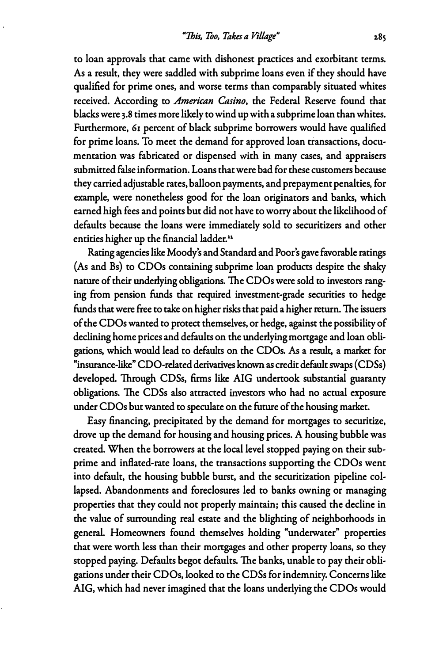**to loan approvals that came with dishonest practices and exorbitant terms. As a result, they were saddled with subprime loans even if they should have qualified for prime ones, and worse terms than comparably situated whites received. According to** *American Casino,* **the Federal Reserve found that blacks were 3.8 times more likely to wind up with a sub prime loan than whites. Furthermore, 61 percent of black subprime borrowers would have qualified for prime loans. To meet the demand for approved loan transactions, documentation was fabricated or dispensed with in many cases, and appraisers submitted false information. Loans that were bad for these customers because they carried adjustable rates, balloon payments, and prepayment penalties, for example, were nonetheless good for the loan originators and banks, which earned high fees and points but did not have to worry about the likelihood of defaults because the loans were immediately sold to securitizers and other**  entities higher up the financial ladder.<sup>22</sup>

**Rating agencies like Moody's and Standard and Poor's gave favorable ratings (As and Bs) to CDOs containing subprime loan products despite the shaky nature of their underlying obligations. The CDOs were sold to investors ranging from pension funds that required investment-grade securities to hedge funds that were free to take on higher risks that paid a higher return. The issuers of the CDOs wanted to protect themselves, or hedge, against the possibility of declining home prices and defaults on the underlying mortgage and loan obligations, which would lead to defaults on the CDOs.** *As* **a result, a market for "insurance-like" CDO-rdated derivatives known as credit default swaps ( CDSs) developed. Through CDSs, firms like AIG undertook substantial guaranty obligations. The CDSs also attracted investors who had no actual exposure under CDOs but wanted to speculate on the future of the housing market.** 

**Easy financing, precipitated by the demand for mortgages to securitize, drove up the demand for housing and housing prices. A housing bubble was created. When the borrowers at the local level stopped paying on their subprime and inflated-rate loans, the transactions supporting the CDOs went into default, the housing bubble burst, and the securitization pipeline collapsed. Abandonments and foreclosures led to banks owning or managing properties that they could not properly maintain; this caused the decline in the value of surrounding real estate and the blighting of neighborhoods in general. Homeowners found themselves holding "underwater" properties that were worth less than their mortgages and other property loans, so they stopped paying. Defaults begot defaults. The banks, unable to pay their obligations under their CD Os, looked to the CDSs for indemnity. Concerns like AIG, which had never imagined that the loans underlying the CDOs would**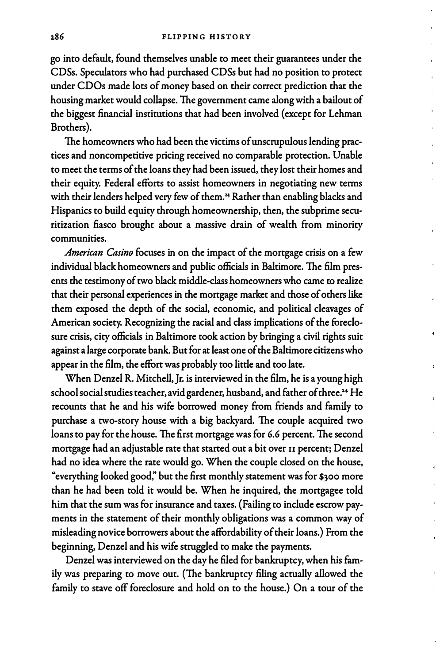**go into default, found themselves unable to meet their guarantees under the CDSs. Speculators who had purchased CDSs but had no position to protect under CDOs made lots of money based on their correct prediction that the housing market would collapse. The government came along with a bailout of the biggest financial institutions that had been involved ( except for Lehman Brothers).** 

**The homeowners who had been the victims of unscrupulous lending practices and noncompetitive pricing received no comparable protection. Unable to meet the terms of the loans they had been issued, they lost their homes and their equity. Federal efforts to assist homeowners in negotiating new terms**  with their lenders helped very few of them.<sup>23</sup> Rather than enabling blacks and **Hispanics to build equity through homeownership, then, the subprime securitization fiasco brought about a massive drain of wealth from minority communities.** 

*American Casino* **focuses in on the impact of the mortgage crisis on a few individual black homeowners and public officials in Baltimore. The film presents the testimony of two black middle-class homeowners who came to realize that their personal experiences in the mortgage market and those of others like them exposed the depth of the social, economic, and political cleavages of American society. Recognizing the racial and class implications of the foreclosure crisis, city officials in Baltimore took action by bringing a civil rights suit against a large corporate bank. But for at least one of the Baltimore citizens who appear in the film, the effort was probably too little and too late.** 

**When Denzel R. Mitchell,Jr. is interviewed in the film, he is a young high school social studies teacher, avid gardener, husband, and father of three.<del>'</del>\* He recounts that he and his wife borrowed money from friends and family to purchase a two-story house with a big backyard. The couple acquired two loans to pay for the house. The first mortgage was for 6.6 percent. The second mortgage had an adjustable rate that started out a bit over II percent; Denzel had no idea where the rate would go. When the couple closed on the house, "everything looked good," but the first monthly statement was for \$300 more than he had been told it would be. When he inquired, the mortgagee told him that the sum was for insurance and taxes. (Failing to include escrow payments in the statement of their monthly obligations was a common way of misleading novice borrowers about the affordability of their loans.) From the beginning, Denzel and his wife struggled to make the payments.** 

**Denzel was interviewed on the day he filed for bankruptcy, when his family was preparing to move out. (The bankruptcy filing actually allowed the family to stave off foreclosure and hold on to the house.) On a tour of the**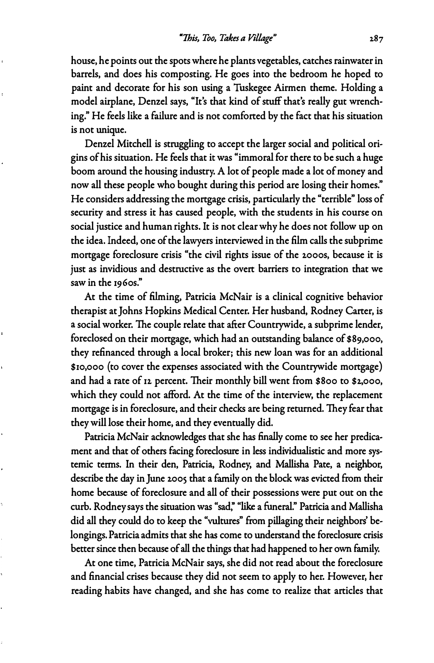**house, he points out the spots where he plants vegetables, catches rainwater in barrels, and does his composting. He goes into the bedroom he hoped to paint and decorate for his son using a Tuskegee Airmen theme. Holding a model airplane, Denzel says, "It's that kind of stuff that's really gut wrenching." He feels like a failure and is not comforted by the fact that his situation is not unique.** 

**Denzel Mitchell is struggling to accept the larger social and political origins of his situation. He feels that it was "immoral for there to be such a huge boom around the housing industry. A lot of people made a lot of money and now all these people who bought during this period are losing their homes." He considers addressing the mortgage crisis, particularly the "terrible" loss of security and stress it has caused people, with the students in his course on social justice and human rights. It is not clear why he does not follow up on the idea. Indeed, one of the lawyers interviewed in the film calls the subprime mortgage foreclosure crisis "the civil rights issue of the 2000s, because it is just as invidious and destructive as the overt barriers to integration that we saw in the 1960s."** 

**At the time of filming, Patricia McNair is a clinical cognitive behavior therapist at Johns Hopkins Medical Center. Her husband, Rodney Carter, is a social worker. The couple relate that after Countrywide, a subprime lender, foreclosed on their mortgage, which had an outstanding balance of \$89,000, they refinanced through a local broker; this new loan was for an additional \$10,000 (to cover the expenses associated with the Countrywide mortgage) and had a rate of 12 percent. Their monthly bill went from \$800 to \$2,000, which they could not afford. At the time of the interview, the replacement mortgage is in foreclosure, and their checks are being returned. They fear that they will lose their home, and they eventually did.** 

**Patricia McNair acknowledges that she has finally come to see her predicament and that of others facing foreclosure in less individualistic and more systemic terms. In their den, Patricia, Rodney, and Mallisha Pate, a neighbor, describe the day in June 2005 that a family on the block was evicted from their home because of foreclosure and all of their possessions were put out on the curb. Rodney says the situation was "sad:' "like a funeral." Patricia and Mallisha did all they could do to keep the "vultures" from pillaging their neighbors' belongings. Patricia admits that she has come to understand the foreclosure crisis better since then because of all the things that had happened to her own family.** 

**At one time, Patricia McNair says, she did not read about the foreclosure and financial crises because they did not seem to apply to her. However, her reading habits have changed, and she has come to realize that articles that**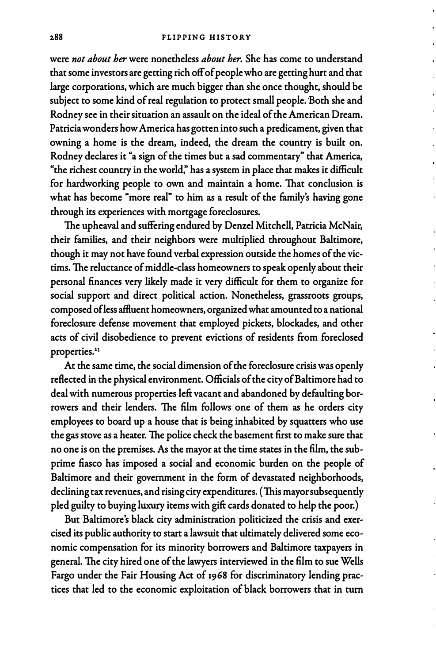**were** *not about her* **were nonetheless** *about her.* **She has come to understand that some investors are getting rich off of people who are getting hurt and that large corporations, which are much bigger than she once thought, should be**  subject to some kind of real regulation to protect small people. Both she and **Rodney see in their situation an assault on the ideal of the American Dream. Patricia wonders how America has gotten into such a predicament, given that owning a home is the dream, indeed, the dream the country is built on. Rodney declares it "a sign of the times but a sad commentary" that America, "the richest country in the world:' has a system in place that makes it difficult for hardworking people to own and maintain a home. That conclusion is what has become "more real" to him as a result of the family's having gone through its experiences with mortgage foreclosures.** 

**The upheaval and suffering endured by Denzel Mitchell, Patricia McNair, their families, and their neighbors were multiplied throughout Baltimore, though it may not have found verbal expression outside the homes of the victims. The reluctance of middle-class homeowners to speak openly about their personal finances very likely made it very difficult for them to organize for social support and direct political action. Nonetheless, grassroots groups, composed ofless affluent homeowners, organized what amounted to a national foreclosure defense movement that employed pickets, blockades, and other acts of civil disobedience to prevent evictions of residents from foreclosed**  properties.<sup>25</sup>

**At the same time, the social dimension of the foreclosure crisis was openly reflected in the physical environment. Officials of the city of Baltimore had to deal with numerous properties left vacant and abandoned by defaulting borrowers and their lenders. The film follows one of them as he orders city employees to board up a house that is being inhabited by squatters who use the gas stove as a heater. The police check the basement first to make sure that no one is on the premises. As the mayor at the time states in the film, the subprime fiasco has imposed a social and economic burden on the people of Baltimore and their government in the form of devastated neighborhoods, declining tax revenues, and rising city expenditures. (This mayor subsequently pied guilty to buying luxury items with gift cards donated to help the poor.)** 

**But Baltimore's black city administration politicized the crisis and exercised its public authority to start a lawsuit that ultimately delivered some economic compensation for its minority borrowers and Baltimore taxpayers in general. The city hired one of the lawyers interviewed in the film to sue Wells Fargo under the Fair Housing Act of 1968 for discriminatory lending practices that led to the economic exploitation of black borrowers that in turn**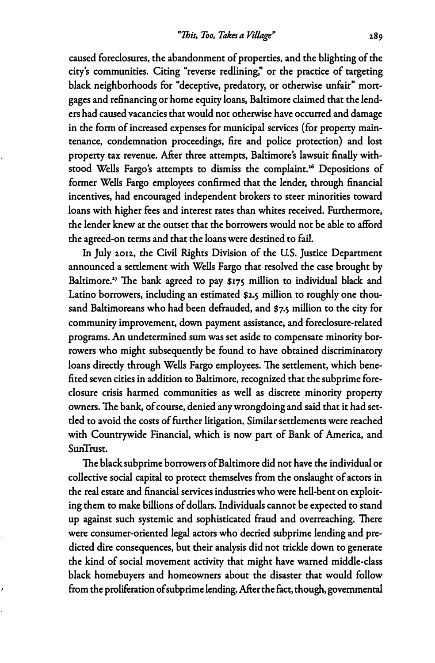**caused foreclosures, the abandonment of properties, and the blighting of the city's communities. Citing "reverse redlining," or the practice of targeting black neighborhoods for "deceptive, predatory, or otherwise unfair" mortgages and refinancing or home equity loans, Baltimore claimed that the lenders had caused vacancies that would not otherwise have occurred and damage in the form of increased expenses for municipal services (for property maintenance, condemnation proceedings, fire and police protection) and lost property tax revenue. After three attempts, Baltimore's lawsuit finally withstood Wells Fargo's attempts to dismiss the complaint. <sup>16</sup>Depositions of former Wells Fargo employees confirmed that the lender, through financial incentives, had encouraged independent brokers to steer minorities toward loans with higher fees and interest rates than whites received. Furthermore, the lender knew at the outset that the borrowers would not be able to afford the agreed-on terms and that the loans were destined to** fail.

**In July 2.012, the Civil Rights Division of the US. Justice Department announced a settlement with Wells Fargo that resolved the case brought by**  Baltimore.<sup>27</sup> The bank agreed to pay \$175 million to individual black and **Latino borrowers, including an estimated \$2.5 million to roughly one thousand Baltirnoreans who had been defrauded, and \$7.5 million to the city for community improvement, down payment assistance, and foreclosure-related programs. An undetermined sum was set aside to compensate minority borrowers who might subsequently be found to have obtained discriminatory loans directly through Wells Fargo employees. The settlement, which benefited seven cities in addition to Baltimore, recognized that the subprime foreclosure crisis harmed communities as well as discrete minority property owners. The bank, of course, denied any wrongdoing and said that it had settled to avoid the costs of further litigation. Similar settlements were reached with Countrywide Financial, which is now part of Bank of America, and SunTrust.** 

**The black subprime borrowers of Baltimore did not have the individual or collective social capital to protect themselves from the onslaught of actors in the real estate and financial services industries who were hell-bent on exploiting them to make billions of dollars. Individuals cannot be expected to stand up against such systemic and sophisticated fraud and overreaching. There were consumer-oriented legal actors who decried subprime lending and predicted dire consequences, but their analysis did not trickle down to generate the kind of social movement activity that might have warned middle-class black homebuyers and homeowners about the disaster that would follow**  from the proliferation of subprime lending. After the fact, though, governmental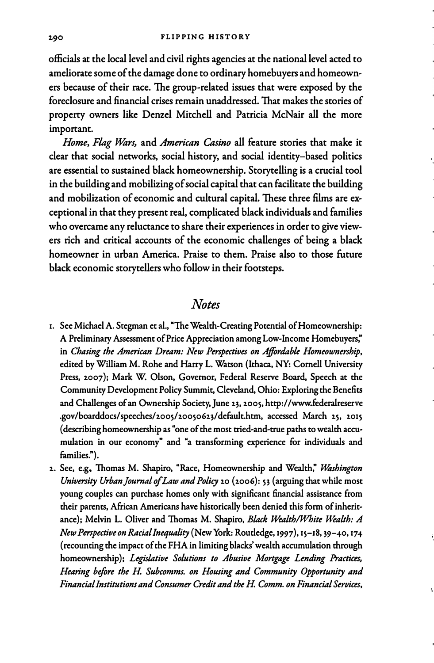**officials at the local level and civil rights agencies at the national level acted to ameliorate some of the damage done to ordinary homebuyers and homeowners because of their race. The group-related issues that were exposed by the foreclosure and financial crises remain unaddressed. That makes the stories of property owners like Denzel Mitchell and Patricia McNair all the more important.** 

Home, Flag Wars, and *American Casino* all feature stories that make it **clear that social networks, social history, and social identity-based politics are essential to sustained black homeownership. Storytelling is a crucial tool in the building and mobilizing of social capital that can facilitate the building and mobilization of economic and cultural capital. These three films are exceptional in that they present real, complicated black individuals and families who overcame any reluctance to share their experiences in order to give viewers rich and critical accounts of the economic challenges of being a black homeowner in urban America. Praise to them. Praise also to those future black economic storytellers who follow in their footsteps.** 

#### *Notes*

- **1. See Michael A. Stegman et al., "The Wealth-Creating Potential of Homeownership: A Preliminary Assessment of Price Appreciation among Low-Income Homebuyers; in** *Chasing the American Dream: New Perspectives on Affordable Homeownership,* **edited by William M. Rohe and Harry L. Watson {Ithaca, NY: Cornell University** Press, 2007); Mark W. Olson, Governor, Federal Reserve Board, Speech at the **Community Development Policy Summit, Cleveland, Ohio: Exploring the Benefits** and Challenges of an Ownership Society, June 23, 2005, http://www.federalreserve .gov/boarddocs/speeches/2005/20050623/default.htm, accessed March 25, 2015 **( describing homeownership as "one of the most tried-and-true paths to wealth accumulation in our economy" and "a transforming experience for individuals and families.").**
- **1.. See, e.g., Thomas M. Shapiro, "Race, Homeownership and Wealth,"** *Washington University Urban Journal of Law and Policy 20 (2006): 53 (arguing that while most* **young couples can purchase homes only with significant financial assistance from their parents, African Americans have historically been denied this form of inheritance); Melvin L. Oliver and Thomas M. Shapiro,** *Black Wealth/White Wealth: A NewPerspectiveonRaciallnequality* **(New York: Routledge, 1997), 15-18, 39-40, 174 {recounting the impact of the FHA in limiting blacks' wealth accumulation through homeownership);** *Legislative Solutions to Abusive Mortgage Lending Practices,*  Hearing before the H. Subcomms. on Housing and Community Opportunity and *Financial Institutions and Consumer Credit and the H Comm. on Financial Services,*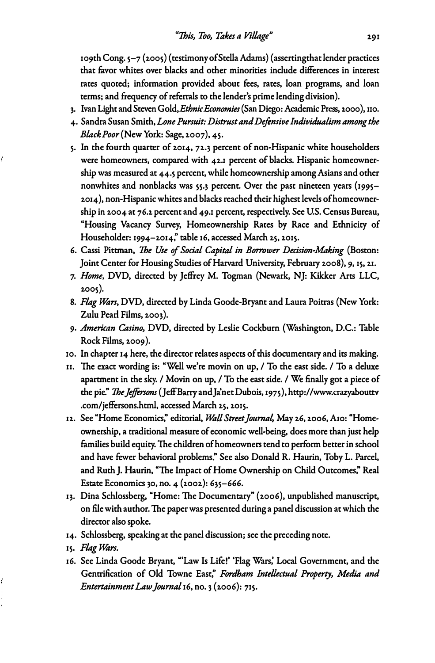**109th Cong. 5-7 (2005) (testimonyof StellaAdams) (assertingthat lender practices that favor whites over blacks and other minorities include differences in interest rates quoted; information provided about fees, rates, loan programs, and loan terms; and frequency of referrals to the lender's prime lending division).** 

- **3. Ivan Light and Steven Gold,** *Ethnic Economies* **(San Diego: Academic Press, 2000 ), 110.**
- **4. Sandra Susan Smith,** *Lone Pursuit: Distrust and Defensive Individualism among the Black Poor* **(New York: Sage, 2007 ), 45.**
- **5. In the fourth quarter of 2014, 72.3 percent of non-Hispanic white householders were homeowners, compared with 42.1 percent of blacks. Hispanic homeownership was measured at 44.5 percent, while homeownership among Asians and other nonwhites and nonblacks was 55.3 percent. Over the past nineteen years (1995- 2014), non-Hispanic whites and blacks reached their highest levels of homeownership in 2004 at 76.2 percent and 49.1 percent, respectively. See U.S. Census Bureau, "Housing Vacancy Survey, Homeownership Rates by Race and Ethnicity of Householder: 1994-2014; table 16, accessed March 25, 2015.**
- **6. Cassi Pittman,** *The Use of Social Capital in Borrower Decision-Making* **(Boston: Joint Center for Housing Studies of Harvard University, February 2008), 9, 15, 21.**
- **7.** *Home,* **DVD, directed by Jeffrey M. Togman (Newark, NJ: Kikker Arts LLC, 2005).**
- **8.** *Flag Ulars,* **DVD, directed by Linda Goode-Bryant and Laura Poitras (New York: Zulu Pearl Films, 2003).**
- **9.** *American Casino,* **DVD, directed by Leslie Cockburn (Washington, D.C.: Table Rock Films, 2009 ).**
- **10. In chapter 14 here, the director relates aspects of this documentary and its making.**
- **n. The exact wording is: "Well we're movin on up, / To the east side. / To a deluxe apartment in the sky. / Movin on up, / To the east side. / We finally got a piece of the pie."** *The]ejfersons* **(Jeff Barry andJa'net Dubois, 1975), http://www.crazyabouttv .com/jeffersons.html, accessed March 25, 2015.**
- 12. See "Home Economics," editorial, Wall Street Journal, May 26, 2006, A10: "Home**ownership, a traditional measure of economic well-being, does more than just help families build equity. The children of homeowners tend to perform better in school and have fewer behavioral problems." See also Donald R. Haurin, Toby L. Parcel, and Ruth J. Haurin, "The Impact of Home Ownership on Child Outcomes:' Real Estate Economics 30, no. 4 (2002): 635-666.**
- **13. Dina Schlossberg, "Home: The Documentary" (2006), unpublished manuscript, on file with author. The paper was presented during a panel discussion at which the director also spoke.**
- **14. Schlossberg, speaking at the panel discussion; see the preceding note.**
- **15.** *Flag Ulars.*

Í

ċ

**16. See Linda Goode Bryant, "'Law Is Life!' 'Flag Wars: Local Government, and the Gentrification of Old Towne Ease;** *Fordham Intellectual Property, Media and Entertainment Law Journal* **16, no. 3 (2006): 715.**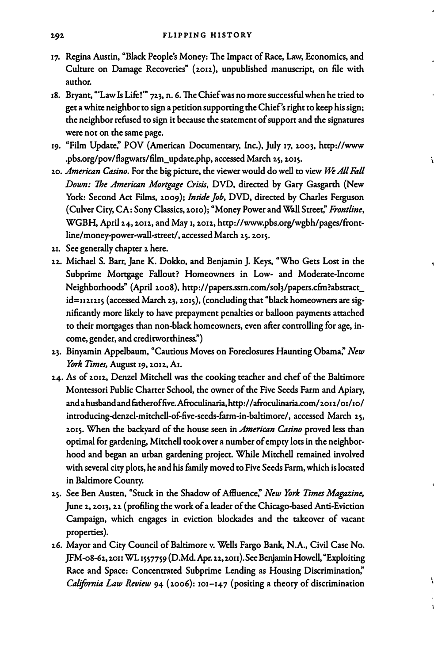- 17. Regina Austin, "Black People's Money: The Impact of Race, Law, Economics, and **Culture on Damage Recoveries" (2.012.), unpublished manuscript, on file with author.**
- **18. Bryant, "'Law Is Life!'" 72.3, n. 6. The Chief was no more successful when he tried to get a white neighbor to sign a petition supporting the Chief's right to keep his sign; the neighbor refused to sign it because the statement of support and the signatures were not on the same page.**
- **19. "Film Update; POV (American Documentary, Inc.), July 17, 2.003, http://www .pbs.org/pov/flagwars/film\_update.php, accessed March 2.5, 2015.**
- **20.** *American Casino.* **For the big picture, the viewer would do well to view** *I\*-All Fall Down: The American Mortgage Crisis,* **DVD, directed by Gary Gasgarth (New York: Second Act Films, 2009);** *Inside Job,* **DVD, directed by Charles Ferguson ( Culver City, CA: Sony Classics, 2010 ); "Money Power and Wall Street;** *Frontline,* **WGBH, April 2.4, 2012, and May 1, 2012, http://www.pbs.org/wgbh/pages/front**line/money-power-wall-street/, accessed March 25. 2015.
- 21. See generally chapter 2 here.
- **22. Michael S. Barr, Jane K. Dokko, and Benjamin J. Keys, "Who Gets Lost in the Subprime Mortgage Fallout? Homeowners in Low- and Moderate-Income Neighborhoods" (April 2008), http://papers.ssm.com/soh/papers.cfin?abstract\_** id=1121215 (accessed March 23, 2015), (concluding that "black homeowners are sig**nificantly more likely to have prepayment penalties or balloon payments attached to their mortgages than non-black homeowners, even after controlling for age, income, gender, and creditworthiness.")**
- **23. Binyamin Appelbaum, "Cautious Moves on Foreclosures Haunting Obama,"** *New York Times,* **August 19, 2.012., Ai.**
- **24. As of 2.012, Denzel Mitchell was the cooking teacher and chef of the Baltimore Montessori Public Charter School, the owner of the Five Seeds Farm and Apiary, andahusbandandfatheroffive. Afroculinaria,http://afroculinaria.com/2012/01/10/ introducing-denzel-mitchell-of-five-seeds-fum-in-baltimore/, accessed March 25, 2015. When the backyard of the house seen in** *American Casino* **proved less than optimal for gardening, Mitchell took over a number of empty lots in the neighborhood and began an urban gardening project. While Mitchell remained involved with several city plots, he and his family moved to Five Seeds Farm, which is located in Baltimore County.**
- **25. See Ben Austen, "Stuck in the Shadow of Affluence;** *New York Times Magazine,* **June 2, 2.013, 22 (profiling the work of a leader of the Chicago-based Anti-Eviction Campaign, which engages in eviction blockades and the takeover of vacant properties).**
- **2.6. Mayor and City Council of Baltimore v. Wells Fargo Bank, N.A., Civil Case No.**  JFM-08-62, 2011 WL 1557759 (D.Md. Apr. 22, 2011). See Benjamin Howell, "Exploiting **Race and Space: Concentrated Subprime Lending as Housing Discrimination;**  *California Law Review* 94 (2006): 101-147 (positing a theory of discrimination